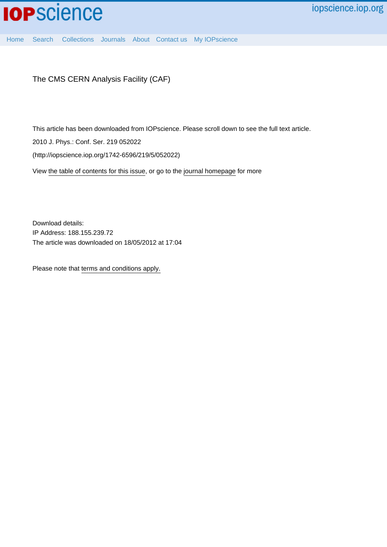

[Home](http://iopscience.iop.org/) [Search](http://iopscience.iop.org/search) [Collections](http://iopscience.iop.org/collections) [Journals](http://iopscience.iop.org/journals) [About](http://iopscience.iop.org/page/aboutioppublishing) [Contact us](http://iopscience.iop.org/contact) [My IOPscience](http://iopscience.iop.org/myiopscience)

The CMS CERN Analysis Facility (CAF)

This article has been downloaded from IOPscience. Please scroll down to see the full text article.

2010 J. Phys.: Conf. Ser. 219 052022

(http://iopscience.iop.org/1742-6596/219/5/052022)

View [the table of contents for this issue](http://iopscience.iop.org/1742-6596/219/5), or go to the [journal homepage](http://iopscience.iop.org/1742-6596) for more

Download details: IP Address: 188.155.239.72 The article was downloaded on 18/05/2012 at 17:04

Please note that [terms and conditions apply.](http://iopscience.iop.org/page/terms)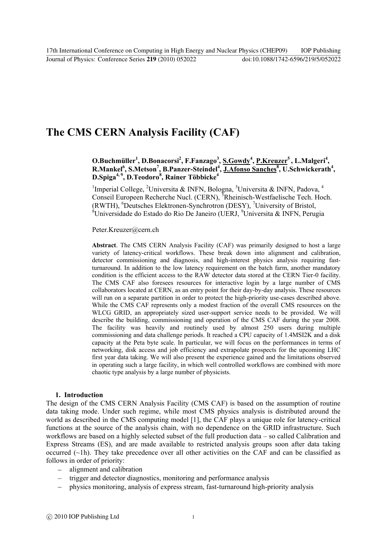# **The CMS CERN Analysis Facility (CAF)**

**O.Buchmüller<sup>1</sup> , D.Bonacorsi<sup>2</sup> , F.Fanzago<sup>3</sup> , S.Gowdy<sup>4</sup> , P.Kreuzer<sup>5</sup>, L.Malgeri<sup>4</sup> , R.Mankel<sup>6</sup> , S.Metson<sup>7</sup> , B.Panzer-Steindel<sup>4</sup> , J.Afonso Sanches<sup>8</sup> , U.Schwickerath<sup>4</sup> , D.Spiga4, 9, D.Teodoro<sup>8</sup> , Rainer Többicke<sup>4</sup>**

<sup>1</sup>Imperial College, <sup>2</sup>Universita & INFN, Bologna, <sup>3</sup>Universita & INFN, Padova, <sup>4</sup> Conseil Europeen Recherche Nucl. (CERN), <sup>5</sup>Rheinisch-Westfaelische Tech. Hoch. (RWTH), <sup>6</sup>Deutsches Elektronen-Synchrotron (DESY), <sup>7</sup>University of Bristol, <sup>8</sup>Universidade do Estado do Rio De Janeiro (UERJ, <sup>9</sup>Universita & INFN, Perugia

Peter.Kreuzer@cern.ch

**Abstract**. The CMS CERN Analysis Facility (CAF) was primarily designed to host a large variety of latency-critical workflows. These break down into alignment and calibration, detector commissioning and diagnosis, and high-interest physics analysis requiring fastturnaround. In addition to the low latency requirement on the batch farm, another mandatory condition is the efficient access to the RAW detector data stored at the CERN Tier-0 facility. The CMS CAF also foresees resources for interactive login by a large number of CMS collaborators located at CERN, as an entry point for their day-by-day analysis. These resources will run on a separate partition in order to protect the high-priority use-cases described above. While the CMS CAF represents only a modest fraction of the overall CMS resources on the WLCG GRID, an appropriately sized user-support service needs to be provided. We will describe the building, commissioning and operation of the CMS CAF during the year 2008. The facility was heavily and routinely used by almost 250 users during multiple commissioning and data challenge periods. It reached a CPU capacity of 1.4MSI2K and a disk capacity at the Peta byte scale. In particular, we will focus on the performances in terms of networking, disk access and job efficiency and extrapolate prospects for the upcoming LHC first year data taking. We will also present the experience gained and the limitations observed in operating such a large facility, in which well controlled workflows are combined with more chaotic type analysis by a large number of physicists.

## **1. Introduction**

The design of the CMS CERN Analysis Facility (CMS CAF) is based on the assumption of routine data taking mode. Under such regime, while most CMS physics analysis is distributed around the world as described in the CMS computing model [1], the CAF plays a unique role for latency-critical functions at the source of the analysis chain, with no dependence on the GRID infrastructure. Such workflows are based on a highly selected subset of the full production data – so called Calibration and Express Streams (ES), and are made available to restricted analysis groups soon after data taking occurred  $(\sim 1h)$ . They take precedence over all other activities on the CAF and can be classified as follows in order of priority:

- alignment and calibration
- trigger and detector diagnostics, monitoring and performance analysis
- physics monitoring, analysis of express stream, fast-turnaround high-priority analysis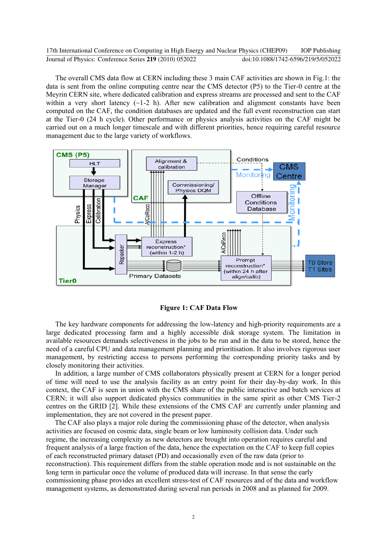The overall CMS data flow at CERN including these 3 main CAF activities are shown in Fig.1: the data is sent from the online computing centre near the CMS detector (P5) to the Tier-0 centre at the Meyrin CERN site, where dedicated calibration and express streams are processed and sent to the CAF within a very short latency  $(\sim 1-2$  h). After new calibration and alignment constants have been computed on the CAF, the condition databases are updated and the full event reconstruction can start at the Tier-0 (24 h cycle). Other performance or physics analysis activities on the CAF might be carried out on a much longer timescale and with different priorities, hence requiring careful resource management due to the large variety of workflows.



**Figure 1: CAF Data Flow** 

The key hardware components for addressing the low-latency and high-priority requirements are a large dedicated processing farm and a highly accessible disk storage system. The limitation in available resources demands selectiveness in the jobs to be run and in the data to be stored, hence the need of a careful CPU and data management planning and prioritisation. It also involves rigorous user management, by restricting access to persons performing the corresponding priority tasks and by closely monitoring their activities.

In addition, a large number of CMS collaborators physically present at CERN for a longer period of time will need to use the analysis facility as an entry point for their day-by-day work. In this context, the CAF is seen in union with the CMS share of the public interactive and batch services at CERN; it will also support dedicated physics communities in the same spirit as other CMS Tier-2 centres on the GRID [2]. While these extensions of the CMS CAF are currently under planning and implementation, they are not covered in the present paper.

The CAF also plays a major role during the commissioning phase of the detector, when analysis activities are focused on cosmic data, single beam or low luminosity collision data. Under such regime, the increasing complexity as new detectors are brought into operation requires careful and frequent analysis of a large fraction of the data, hence the expectation on the CAF to keep full copies of each reconstructed primary dataset (PD) and occasionally even of the raw data (prior to reconstruction). This requirement differs from the stable operation mode and is not sustainable on the long term in particular once the volume of produced data will increase. In that sense the early commissioning phase provides an excellent stress-test of CAF resources and of the data and workflow management systems, as demonstrated during several run periods in 2008 and as planned for 2009.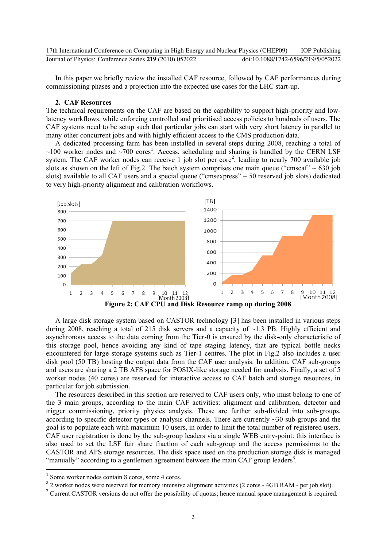| 17th International Conference on Computing in High Energy and Nuclear Physics (CHEP09) |                                    | <b>IOP Publishing</b> |
|----------------------------------------------------------------------------------------|------------------------------------|-----------------------|
| Journal of Physics: Conference Series 219 (2010) 052022                                | doi:10.1088/1742-6596/219/5/052022 |                       |

In this paper we briefly review the installed CAF resource, followed by CAF performances during commissioning phases and a projection into the expected use cases for the LHC start-up.

#### **2. CAF Resources**

The technical requirements on the CAF are based on the capability to support high-priority and lowlatency workflows, while enforcing controlled and prioritised access policies to hundreds of users. The CAF systems need to be setup such that particular jobs can start with very short latency in parallel to many other concurrent jobs and with highly efficient access to the CMS production data.

A dedicated processing farm has been installed in several steps during 2008, reaching a total of  $\sim$ 100 worker nodes and  $\sim$ 700 cores<sup>1</sup>. Access, scheduling and sharing is handled by the CERN LSF system. The CAF worker nodes can receive 1 job slot per core<sup>2</sup>, leading to nearly 700 available job slots as shown on the left of Fig.2. The batch system comprises one main queue ("cmscaf"  $\sim 630$  job slots) available to all CAF users and a special queue ("cmsexpress"  $\sim$  50 reserved job slots) dedicated to very high-priority alignment and calibration workflows.



A large disk storage system based on CASTOR technology [3] has been installed in various steps during 2008, reaching a total of 215 disk servers and a capacity of ~1.3 PB. Highly efficient and asynchronous access to the data coming from the Tier-0 is ensured by the disk-only characteristic of this storage pool, hence avoiding any kind of tape staging latency, that are typical bottle necks encountered for large storage systems such as Tier-1 centres. The plot in Fig.2 also includes a user disk pool (50 TB) hosting the output data from the CAF user analysis. In addition, CAF sub-groups and users are sharing a 2 TB AFS space for POSIX-like storage needed for analysis. Finally, a set of 5 worker nodes (40 cores) are reserved for interactive access to CAF batch and storage resources, in particular for job submission.

The resources described in this section are reserved to CAF users only, who must belong to one of the 3 main groups, according to the main CAF activities: alignment and calibration, detector and trigger commissioning, priority physics analysis. These are further sub-divided into sub-groups, according to specific detector types or analysis channels. There are currently  $\sim$ 30 sub-groups and the goal is to populate each with maximum 10 users, in order to limit the total number of registered users. CAF user registration is done by the sub-group leaders via a single WEB entry-point: this interface is also used to set the LSF fair share fraction of each sub-group and the access permissions to the CASTOR and AFS storage resources. The disk space used on the production storage disk is managed "manually" according to a gentlemen agreement between the main  $CAF$  group leaders<sup>3</sup>.

-

<sup>1</sup> Some worker nodes contain 8 cores, some 4 cores.

 $2$  2 worker nodes were reserved for memory intensive alignment activities (2 cores - 4GB RAM - per job slot).

<sup>&</sup>lt;sup>3</sup> Current CASTOR versions do not offer the possibility of quotas; hence manual space management is required.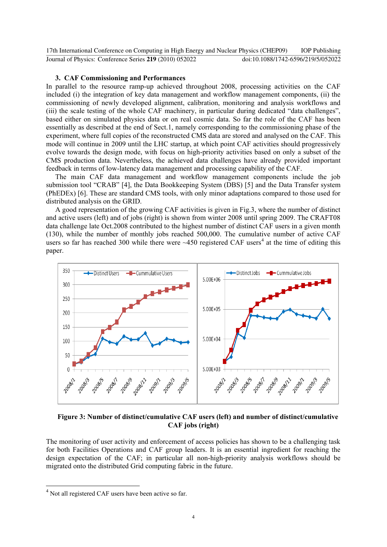### **3. CAF Commissioning and Performances**

In parallel to the resource ramp-up achieved throughout 2008, processing activities on the CAF included (i) the integration of key data management and workflow management components, (ii) the commissioning of newly developed alignment, calibration, monitoring and analysis workflows and (iii) the scale testing of the whole CAF machinery, in particular during dedicated "data challenges", based either on simulated physics data or on real cosmic data. So far the role of the CAF has been essentially as described at the end of Sect.1, namely corresponding to the commissioning phase of the experiment, where full copies of the reconstructed CMS data are stored and analysed on the CAF. This mode will continue in 2009 until the LHC startup, at which point CAF activities should progressively evolve towards the design mode, with focus on high-priority activities based on only a subset of the CMS production data. Nevertheless, the achieved data challenges have already provided important feedback in terms of low-latency data management and processing capability of the CAF.

The main CAF data management and workflow management components include the job submission tool "CRAB" [4], the Data Bookkeeping System (DBS) [5] and the Data Transfer system (PhEDEx) [6]. These are standard CMS tools, with only minor adaptations compared to those used for distributed analysis on the GRID.

A good representation of the growing CAF activities is given in Fig.3, where the number of distinct and active users (left) and of jobs (right) is shown from winter 2008 until spring 2009. The CRAFT08 data challenge late Oct.2008 contributed to the highest number of distinct CAF users in a given month (130), while the number of monthly jobs reached 500,000. The cumulative number of active CAF users so far has reached 300 while there were  $\sim$ 450 registered CAF users<sup>4</sup> at the time of editing this paper.



**Figure 3: Number of distinct/cumulative CAF users (left) and number of distinct/cumulative CAF jobs (right)** 

The monitoring of user activity and enforcement of access policies has shown to be a challenging task for both Facilities Operations and CAF group leaders. It is an essential ingredient for reaching the design expectation of the CAF; in particular all non-high-priority analysis workflows should be migrated onto the distributed Grid computing fabric in the future.

1

<sup>&</sup>lt;sup>4</sup> Not all registered CAF users have been active so far.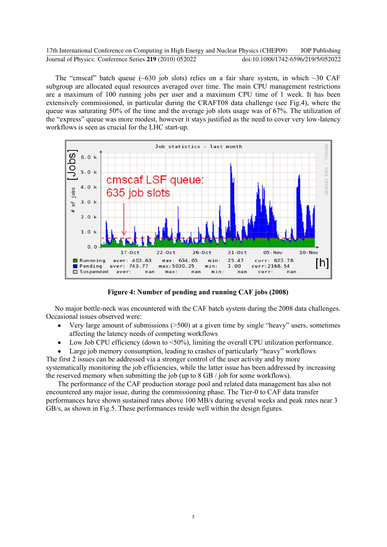The "cmscaf" batch queue ( $\sim$ 630 job slots) relies on a fair share system, in which  $\sim$ 30 CAF subgroup are allocated equal resources averaged over time. The main CPU management restrictions are a maximum of 100 running jobs per user and a maximum CPU time of 1 week. It has been extensively commissioned, in particular during the CRAFT08 data challenge (see Fig.4), where the queue was saturating 50% of the time and the average job slots usage was of 67%. The utilization of the "express" queue was more modest, however it stays justified as the need to cover very low-latency workflows is seen as crucial for the LHC start-up.



**Figure 4: Number of pending and running CAF jobs (2008)** 

No major bottle-neck was encountered with the CAF batch system during the 2008 data challenges. Occasional issues observed were:

- Very large amount of submissions  $(>=500)$  at a given time by single "heavy" users, sometimes  $\bullet$ affecting the latency needs of competing workflows
- Low Job CPU efficiency (down to <50%), limiting the overall CPU utilization performance.  $\bullet$

Large job memory consumption, leading to crashes of particularly "heavy" workflows

The first 2 issues can be addressed via a stronger control of the user activity and by more systematically monitoring the job efficiencies, while the latter issue has been addressed by increasing the reserved memory when submitting the job (up to 8 GB / job for some workflows).

The performance of the CAF production storage pool and related data management has also not encountered any major issue, during the commissioning phase. The Tier-0 to CAF data transfer performances have shown sustained rates above 100 MB/s during several weeks and peak rates near 3 GB/s, as shown in Fig.5. These performances reside well within the design figures.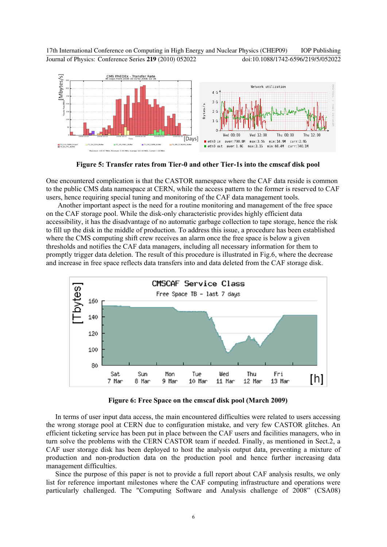17th International Conference on Computing in High Energy and Nuclear Physics (CHEP09) IOP Publishing Journal of Physics: Conference Series **219** (2010) 052022 doi:10.1088/1742-6596/219/5/052022



**Figure 5: Transfer rates from Tier-0 and other Tier-1s into the cmscaf disk pool** 

One encountered complication is that the CASTOR namespace where the CAF data reside is common to the public CMS data namespace at CERN, while the access pattern to the former is reserved to CAF users, hence requiring special tuning and monitoring of the CAF data management tools.

Another important aspect is the need for a routine monitoring and management of the free space on the CAF storage pool. While the disk-only characteristic provides highly efficient data accessibility, it has the disadvantage of no automatic garbage collection to tape storage, hence the risk to fill up the disk in the middle of production. To address this issue, a procedure has been established where the CMS computing shift crew receives an alarm once the free space is below a given thresholds and notifies the CAF data managers, including all necessary information for them to promptly trigger data deletion. The result of this procedure is illustrated in Fig.6, where the decrease and increase in free space reflects data transfers into and data deleted from the CAF storage disk.



**Figure 6: Free Space on the cmscaf disk pool (March 2009)** 

In terms of user input data access, the main encountered difficulties were related to users accessing the wrong storage pool at CERN due to configuration mistake, and very few CASTOR glitches. An efficient ticketing service has been put in place between the CAF users and facilities managers, who in turn solve the problems with the CERN CASTOR team if needed. Finally, as mentioned in Sect.2, a CAF user storage disk has been deployed to host the analysis output data, preventing a mixture of production and non-production data on the production pool and hence further increasing data management difficulties.

Since the purpose of this paper is not to provide a full report about CAF analysis results, we only list for reference important milestones where the CAF computing infrastructure and operations were particularly challenged. The "Computing Software and Analysis challenge of 2008" (CSA08)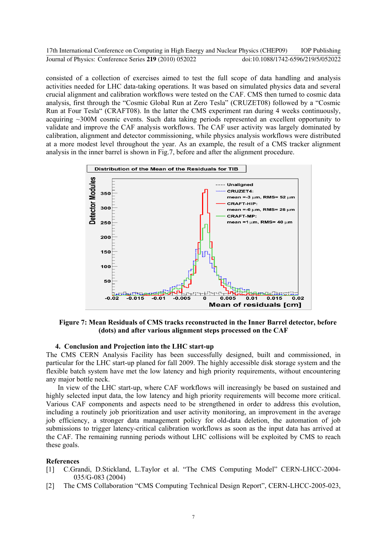consisted of a collection of exercises aimed to test the full scope of data handling and analysis activities needed for LHC data-taking operations. It was based on simulated physics data and several crucial alignment and calibration workflows were tested on the CAF. CMS then turned to cosmic data analysis, first through the "Cosmic Global Run at Zero Tesla" (CRUZET08) followed by a "Cosmic Run at Four Tesla" (CRAFT08). In the latter the CMS experiment ran during 4 weeks continuously, acquiring ~300M cosmic events. Such data taking periods represented an excellent opportunity to validate and improve the CAF analysis workflows. The CAF user activity was largely dominated by calibration, alignment and detector commissioning, while physics analysis workflows were distributed at a more modest level throughout the year. As an example, the result of a CMS tracker alignment analysis in the inner barrel is shown in Fig.7, before and after the alignment procedure.



**Figure 7: Mean Residuals of CMS tracks reconstructed in the Inner Barrel detector, before (dots) and after various alignment steps processed on the CAF** 

## **4. Conclusion and Projection into the LHC start-up**

The CMS CERN Analysis Facility has been successfully designed, built and commissioned, in particular for the LHC start-up planed for fall 2009. The highly accessible disk storage system and the flexible batch system have met the low latency and high priority requirements, without encountering any major bottle neck.

In view of the LHC start-up, where CAF workflows will increasingly be based on sustained and highly selected input data, the low latency and high priority requirements will become more critical. Various CAF components and aspects need to be strengthened in order to address this evolution, including a routinely job prioritization and user activity monitoring, an improvement in the average job efficiency, a stronger data management policy for old-data deletion, the automation of job submissions to trigger latency-critical calibration workflows as soon as the input data has arrived at the CAF. The remaining running periods without LHC collisions will be exploited by CMS to reach these goals.

#### **References**

- [1] C.Grandi, D.Stickland, L.Taylor et al. "The CMS Computing Model" CERN-LHCC-2004- 035/G-083 (2004)
- [2] The CMS Collaboration "CMS Computing Technical Design Report", CERN-LHCC-2005-023,